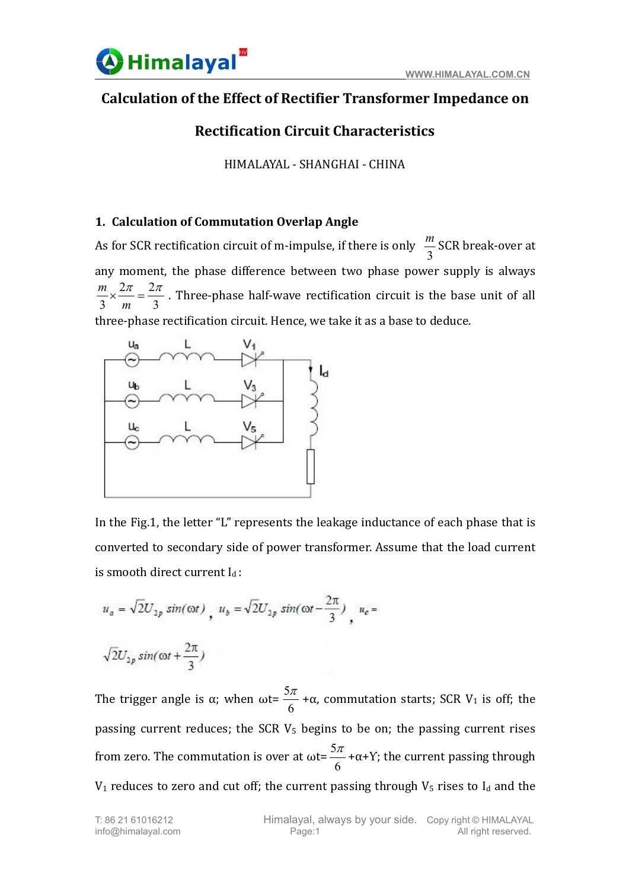### **Calculation of the Effect of Rectifier Transformer Impedance on**

## **Rectification Circuit Characteristics**

HIMALAYAL - SHANGHAI - CHINA

### **1. Calculation of Commutation Overlap Angle**

As for SCR rectification circuit of m-impulse, if there is only  $\frac{1}{3}$  SCR break-over at  $m$  ccp hypole around: SCR break-over at any moment, the phase difference between two phase power supply is always  $\frac{3}{2}$  $2\pi$   $2\pi$  Thuse phase half ways neatified  $3 \t m \t 3$  $\frac{m}{3} \times \frac{2\pi}{m} = \frac{2\pi}{3}$ . Three-phase half-wave rectification circuit . Three-phase half-wave rectification circuit is the base unit of all three-phase rectification circuit. Hence, we take it as a base to deduce.



In the Fig.1, the letter "L" represents the leakage inductance of each phase that is converted to secondary side of power transformer. Assume that the load current is smooth direct current  $I_d$ :

$$
u_a = \sqrt{2}U_{2p} \sin(\omega t) , u_b = \sqrt{2}U_{2p} \sin(\omega t - \frac{2\pi}{3}) , u_c =
$$

$$
\sqrt{2}U_{2p}\sin(\omega t+\frac{2\pi}{3})
$$

The trigger angle is  $\alpha$ ; when  $\omega t = \frac{1}{6} + \alpha$ , commutation starts; SCR V<sub>1</sub> is  $5\pi$   $\alpha$  commutation starts. CCD V is off  $+\alpha$ , commutation starts; SCR V<sub>1</sub> is off; the passing current reduces; the SCR  $V_5$  begins to be on; the passing current rises from zero. The commutation is over at ωt=  $\frac{ }{6}$  + α+Y; the current passing through  $5\pi$  .  $\ldots$   $x_{n}$  the countert person to the set of  $+\alpha$ +Y; the current passing through  $V_1$  reduces to zero and cut off; the current passing through  $V_5$  rises to  $I_d$  and the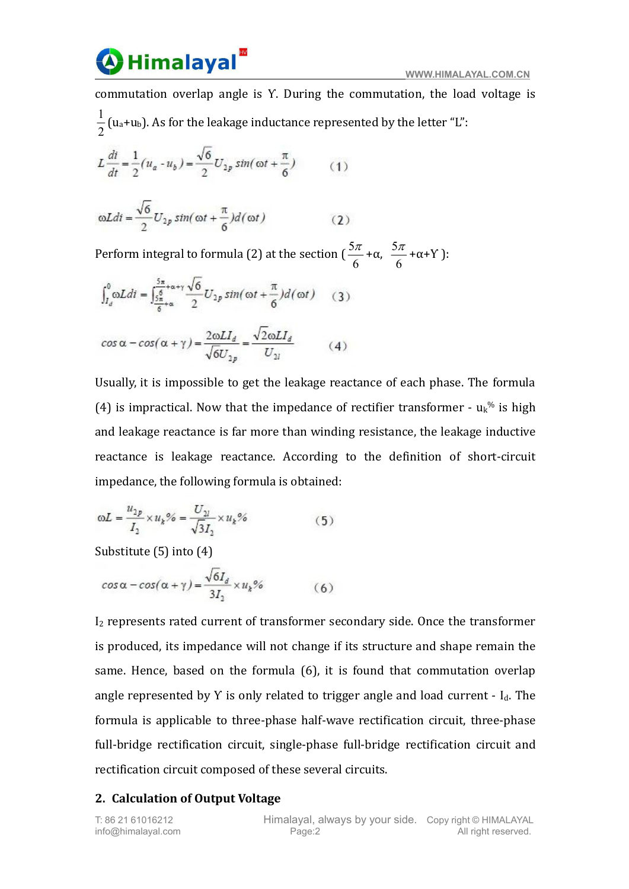

commutation overlap angle is Y. During the commutation, the load voltage is  $2^{(4)}$  $1$  ( $\ldots$ ) As for the lealmon industant (u $_{\mathrm{a}}$ +u $_{\mathrm{b}}$ ). As for the leakage inductance represented by the letter "L":

$$
L\frac{di}{dt} = \frac{1}{2}(u_a - u_b) = \frac{\sqrt{6}}{2}U_{2p}\sin(\omega t + \frac{\pi}{6})
$$
 (1)

$$
\omega Ldi = \frac{\sqrt{6}}{2} U_{2p} \sin(\omega t + \frac{\pi}{6}) d(\omega t)
$$
 (2)

Perform integral to formula (2) at the section (  $\frac{ }{6}$  +  $\alpha$ ,  $\frac{ }{6}$  +  $\alpha$  + Y  $\frac{ }{)}$ :  $5\pi$   $5\pi$   $5\pi$   $5\pi$  $+\alpha$ ,  $\frac{\pi}{6}$  +  $\alpha$  + Y :  $5\pi$   $\ldots$   $\ldots$   $\ldots$   $\ldots$   $\ldots$   $\ldots$   $\ldots$   $\ldots$   $\ldots$   $\ldots$   $\ldots$   $\ldots$   $\ldots$   $\ldots$   $\ldots$   $\ldots$   $\ldots$   $\ldots$   $\ldots$   $\ldots$   $\ldots$   $\ldots$   $\ldots$   $\ldots$   $\ldots$   $\ldots$   $\ldots$   $\ldots$   $\ldots$   $\ldots$   $\ldots$   $\ldots$   $\ldots$   $\ldots$   $\ldots$   $\ldots$  $+\alpha + Y$  ):

$$
\int_{I_d}^{0} \omega Ldi = \int_{\frac{5}{6} + \alpha}^{\frac{5\pi}{6} + \alpha + \gamma} \frac{\sqrt{6}}{2} U_{2p} \sin(\omega t + \frac{\pi}{6}) d(\omega t) \quad (3)
$$
  

$$
\cos \alpha - \cos(\alpha + \gamma) = \frac{2\omega L I_d}{\sqrt{6} U_{2p}} = \frac{\sqrt{2}\omega L I_d}{U_{2l}} \quad (4)
$$

Usually, it is impossible to get the leakage reactance of each phase. The formula (4) is impractical. Now that the impedance of rectifier transformer -  $u_k$ <sup>%</sup> is high and leakage reactance is far more than winding resistance, the leakage inductive reactance is leakage reactance. According to the definition of short-circuit impedance, the following formula is obtained:

$$
\omega L = \frac{u_{2p}}{I_2} \times u_k\% = \frac{U_{2l}}{\sqrt{3}I_2} \times u_k\% \tag{5}
$$

Substitute (5) into (4)

$$
\cos\alpha - \cos(\alpha + \gamma) = \frac{\sqrt{6}I_d}{3I_2} \times u_k\% \tag{6}
$$

I<sup>2</sup> represents rated current of transformer secondary side. Once the transformer is produced, its impedance will not change if its structure and shape remain the same. Hence, based on the formula (6), it is found that commutation overlap angle represented by Y is only related to trigger angle and load current  $-I<sub>d</sub>$ . The formula is applicable to three-phase half-wave rectification circuit, three-phase full-bridge rectification circuit, single-phase full-bridge rectification circuit and rectification circuit composed of these several circuits.

### **2. Calculation of Output Voltage**

info@himalayal.com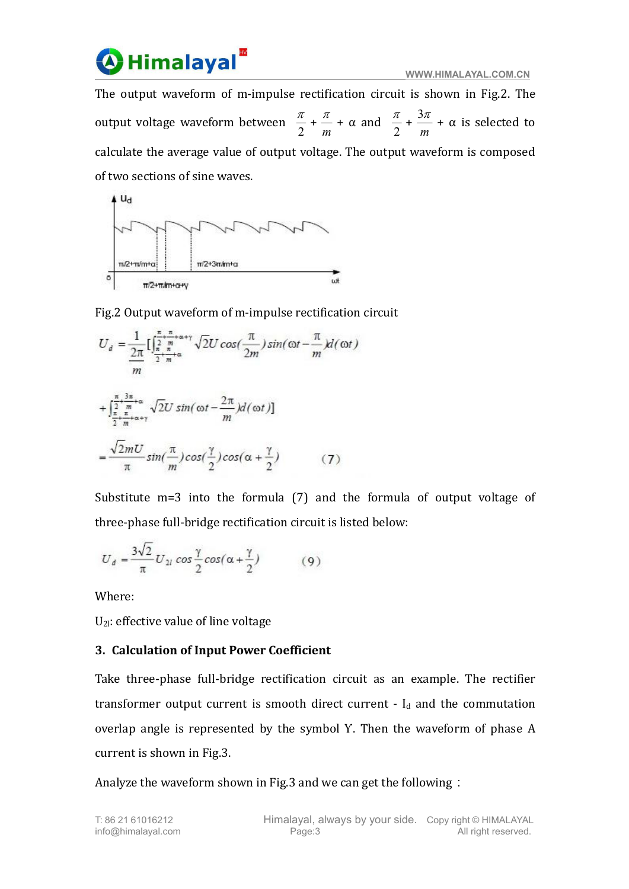# Himalayal<sup>'</sup>

The output waveform of m-impulse rectification circuit is shown in Fig.2. The output voltage waveform between  $\frac{m}{2} + \frac{m}{m} + \alpha$  and  $\frac{m}{2} + \frac{m}{m} + \alpha$  is select  $\frac{\pi}{2} + \frac{\pi}{m} + \alpha$  and  $\frac{\pi}{2} + \frac{3\pi}{m} + \alpha$  is selected to  $\frac{\pi}{m}$  +  $\alpha$  and  $\frac{\pi}{2}$  +  $\frac{3\pi}{m}$  +  $\alpha$  is selected to  $\frac{\pi}{2} + \frac{3\pi}{m} + \alpha$  is selected to  $3\pi$   $\alpha$  is selected to  $+ \alpha$  is selected to calculate the average value of output voltage. The output waveform is composed of two sections of sine waves.



Fig.2 Output waveform of m-impulse rectification circuit

$$
U_d = \frac{1}{2\pi} \left[ \int_{\frac{\pi}{2} + \frac{\pi}{m} + \alpha + \gamma}^{\frac{\pi}{2} + \frac{\pi}{m} + \alpha + \gamma} \sqrt{2} U \cos(\frac{\pi}{2m}) \sin(\omega t - \frac{\pi}{m}) d(\omega t) \right]
$$
  
+ 
$$
\int_{\frac{\pi}{2} + \frac{\pi}{m} + \alpha + \gamma}^{\frac{\pi}{2} + \frac{3\pi}{m} + \alpha} \sqrt{2} U \sin(\omega t - \frac{2\pi}{m}) d(\omega t) \right]
$$
  
= 
$$
\frac{\sqrt{2}mU}{\pi} \sin(\frac{\pi}{m}) \cos(\frac{\gamma}{2}) \cos(\alpha + \frac{\gamma}{2}) \qquad (7)
$$

Substitute m=3 into the formula (7) and the formula of output voltage of three-phase full-bridge rectification circuit is listed below:

$$
U_d = \frac{3\sqrt{2}}{\pi} U_{2l} \cos\frac{\gamma}{2} \cos(\alpha + \frac{\gamma}{2})
$$
 (9)

Where:

 $U_{2l}$ : effective value of line voltage

### **3. Calculation of Input Power Coefficient**

Take three-phase full-bridge rectification circuit as an example. The rectifier transformer output current is smooth direct current  $-I_d$  and the commutation overlap angle is represented by the symbol Y. Then the waveform of phase A current is shown in Fig.3.

Analyze the waveform shown in Fig.3 and we can get the following: